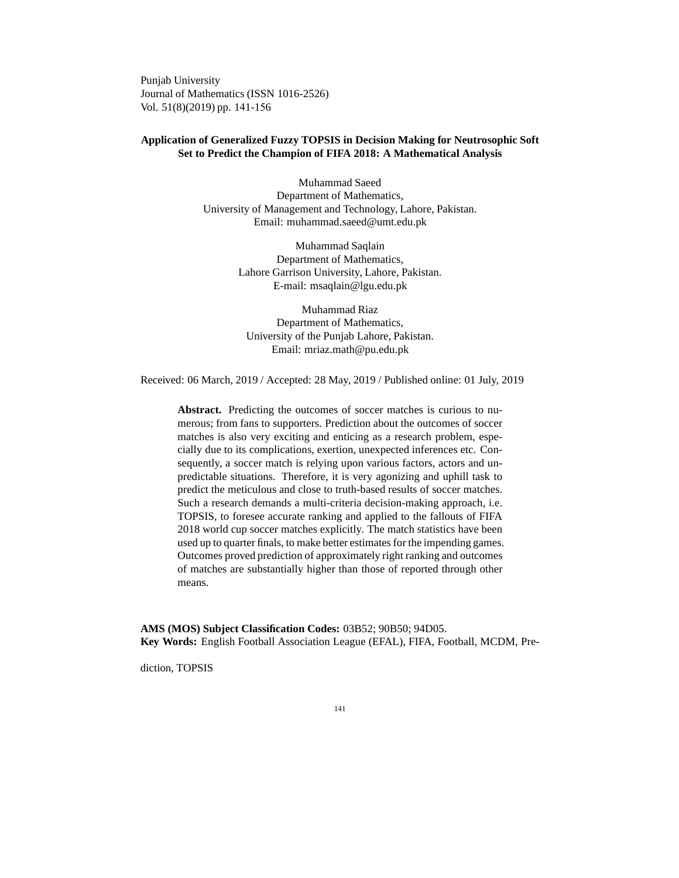Punjab University Journal of Mathematics (ISSN 1016-2526) Vol. 51(8)(2019) pp. 141-156

### **Application of Generalized Fuzzy TOPSIS in Decision Making for Neutrosophic Soft Set to Predict the Champion of FIFA 2018: A Mathematical Analysis**

Muhammad Saeed Department of Mathematics, University of Management and Technology, Lahore, Pakistan. Email: muhammad.saeed@umt.edu.pk

> Muhammad Saqlain Department of Mathematics, Lahore Garrison University, Lahore, Pakistan. E-mail: msaqlain@lgu.edu.pk

Muhammad Riaz Department of Mathematics, University of the Punjab Lahore, Pakistan. Email: mriaz.math@pu.edu.pk

Received: 06 March, 2019 / Accepted: 28 May, 2019 / Published online: 01 July, 2019

**Abstract.** Predicting the outcomes of soccer matches is curious to numerous; from fans to supporters. Prediction about the outcomes of soccer matches is also very exciting and enticing as a research problem, especially due to its complications, exertion, unexpected inferences etc. Consequently, a soccer match is relying upon various factors, actors and unpredictable situations. Therefore, it is very agonizing and uphill task to predict the meticulous and close to truth-based results of soccer matches. Such a research demands a multi-criteria decision-making approach, i.e. TOPSIS, to foresee accurate ranking and applied to the fallouts of FIFA 2018 world cup soccer matches explicitly. The match statistics have been used up to quarter finals, to make better estimates for the impending games. Outcomes proved prediction of approximately right ranking and outcomes of matches are substantially higher than those of reported through other means.

**AMS (MOS) Subject Classification Codes:** 03B52; 90B50; 94D05. **Key Words:** English Football Association League (EFAL), FIFA, Football, MCDM, Pre-

diction, TOPSIS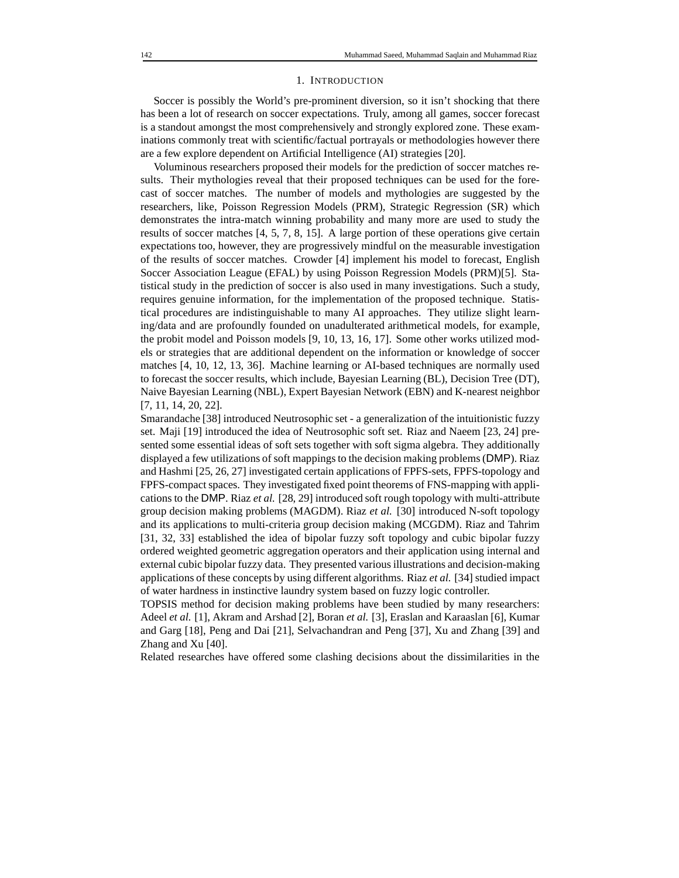#### 1. INTRODUCTION

Soccer is possibly the World's pre-prominent diversion, so it isn't shocking that there has been a lot of research on soccer expectations. Truly, among all games, soccer forecast is a standout amongst the most comprehensively and strongly explored zone. These examinations commonly treat with scientific/factual portrayals or methodologies however there are a few explore dependent on Artificial Intelligence (AI) strategies [20].

Voluminous researchers proposed their models for the prediction of soccer matches results. Their mythologies reveal that their proposed techniques can be used for the forecast of soccer matches. The number of models and mythologies are suggested by the researchers, like, Poisson Regression Models (PRM), Strategic Regression (SR) which demonstrates the intra-match winning probability and many more are used to study the results of soccer matches [4, 5, 7, 8, 15]. A large portion of these operations give certain expectations too, however, they are progressively mindful on the measurable investigation of the results of soccer matches. Crowder [4] implement his model to forecast, English Soccer Association League (EFAL) by using Poisson Regression Models (PRM)[5]. Statistical study in the prediction of soccer is also used in many investigations. Such a study, requires genuine information, for the implementation of the proposed technique. Statistical procedures are indistinguishable to many AI approaches. They utilize slight learning/data and are profoundly founded on unadulterated arithmetical models, for example, the probit model and Poisson models [9, 10, 13, 16, 17]. Some other works utilized models or strategies that are additional dependent on the information or knowledge of soccer matches [4, 10, 12, 13, 36]. Machine learning or AI-based techniques are normally used to forecast the soccer results, which include, Bayesian Learning (BL), Decision Tree (DT), Naive Bayesian Learning (NBL), Expert Bayesian Network (EBN) and K-nearest neighbor [7, 11, 14, 20, 22].

Smarandache [38] introduced Neutrosophic set - a generalization of the intuitionistic fuzzy set. Maji [19] introduced the idea of Neutrosophic soft set. Riaz and Naeem [23, 24] presented some essential ideas of soft sets together with soft sigma algebra. They additionally displayed a few utilizations of soft mappings to the decision making problems (DMP). Riaz and Hashmi [25, 26, 27] investigated certain applications of FPFS-sets, FPFS-topology and FPFS-compact spaces. They investigated fixed point theorems of FNS-mapping with applications to the DMP. Riaz *et al.* [28, 29] introduced soft rough topology with multi-attribute group decision making problems (MAGDM). Riaz *et al.* [30] introduced N-soft topology and its applications to multi-criteria group decision making (MCGDM). Riaz and Tahrim [31, 32, 33] established the idea of bipolar fuzzy soft topology and cubic bipolar fuzzy ordered weighted geometric aggregation operators and their application using internal and external cubic bipolar fuzzy data. They presented various illustrations and decision-making applications of these concepts by using different algorithms. Riaz *et al.* [34] studied impact of water hardness in instinctive laundry system based on fuzzy logic controller.

TOPSIS method for decision making problems have been studied by many researchers: Adeel *et al.* [1], Akram and Arshad [2], Boran *et al.* [3], Eraslan and Karaaslan [6], Kumar and Garg [18], Peng and Dai [21], Selvachandran and Peng [37], Xu and Zhang [39] and Zhang and Xu [40].

Related researches have offered some clashing decisions about the dissimilarities in the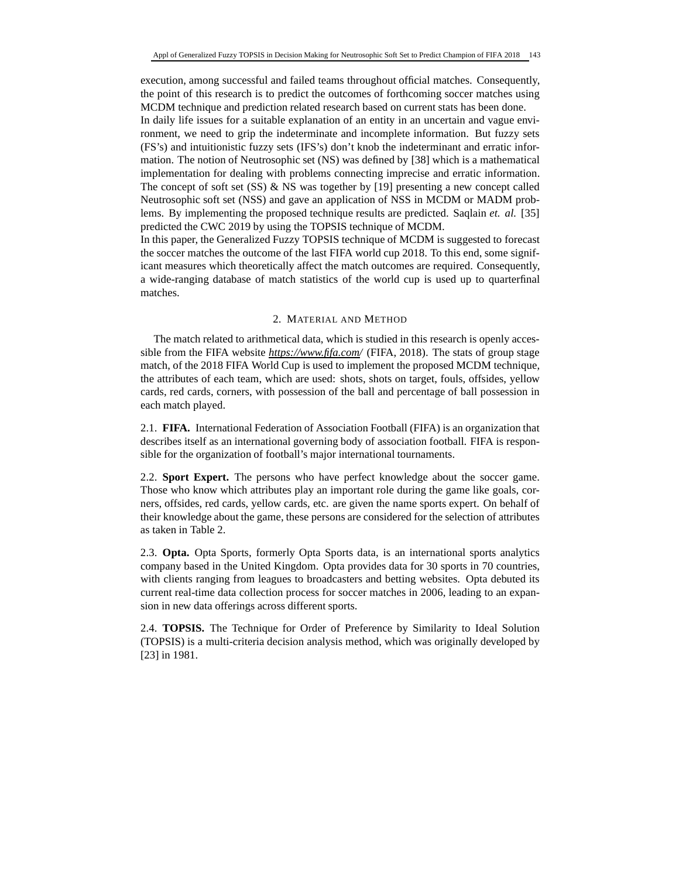execution, among successful and failed teams throughout official matches. Consequently, the point of this research is to predict the outcomes of forthcoming soccer matches using MCDM technique and prediction related research based on current stats has been done.

In daily life issues for a suitable explanation of an entity in an uncertain and vague environment, we need to grip the indeterminate and incomplete information. But fuzzy sets (FS's) and intuitionistic fuzzy sets (IFS's) don't knob the indeterminant and erratic information. The notion of Neutrosophic set (NS) was defined by [38] which is a mathematical implementation for dealing with problems connecting imprecise and erratic information. The concept of soft set  $(SS)$  & NS was together by [19] presenting a new concept called Neutrosophic soft set (NSS) and gave an application of NSS in MCDM or MADM problems. By implementing the proposed technique results are predicted. Saqlain *et. al.* [35] predicted the CWC 2019 by using the TOPSIS technique of MCDM.

In this paper, the Generalized Fuzzy TOPSIS technique of MCDM is suggested to forecast the soccer matches the outcome of the last FIFA world cup 2018. To this end, some significant measures which theoretically affect the match outcomes are required. Consequently, a wide-ranging database of match statistics of the world cup is used up to quarterfinal matches.

### 2. MATERIAL AND METHOD

The match related to arithmetical data, which is studied in this research is openly accessible from the FIFA website *https://www.fifa.com/* (FIFA, 2018). The stats of group stage match, of the 2018 FIFA World Cup is used to implement the proposed MCDM technique, the attributes of each team, which are used: shots, shots on target, fouls, offsides, yellow cards, red cards, corners, with possession of the ball and percentage of ball possession in each match played.

2.1. **FIFA.** International Federation of Association Football (FIFA) is an organization that describes itself as an international governing body of association football. FIFA is responsible for the organization of football's major international tournaments.

2.2. **Sport Expert.** The persons who have perfect knowledge about the soccer game. Those who know which attributes play an important role during the game like goals, corners, offsides, red cards, yellow cards, etc. are given the name sports expert. On behalf of their knowledge about the game, these persons are considered for the selection of attributes as taken in Table 2.

2.3. **Opta.** Opta Sports, formerly Opta Sports data, is an international sports analytics company based in the United Kingdom. Opta provides data for 30 sports in 70 countries, with clients ranging from leagues to broadcasters and betting websites. Opta debuted its current real-time data collection process for soccer matches in 2006, leading to an expansion in new data offerings across different sports.

2.4. **TOPSIS.** The Technique for Order of Preference by Similarity to Ideal Solution (TOPSIS) is a multi-criteria decision analysis method, which was originally developed by [23] in 1981.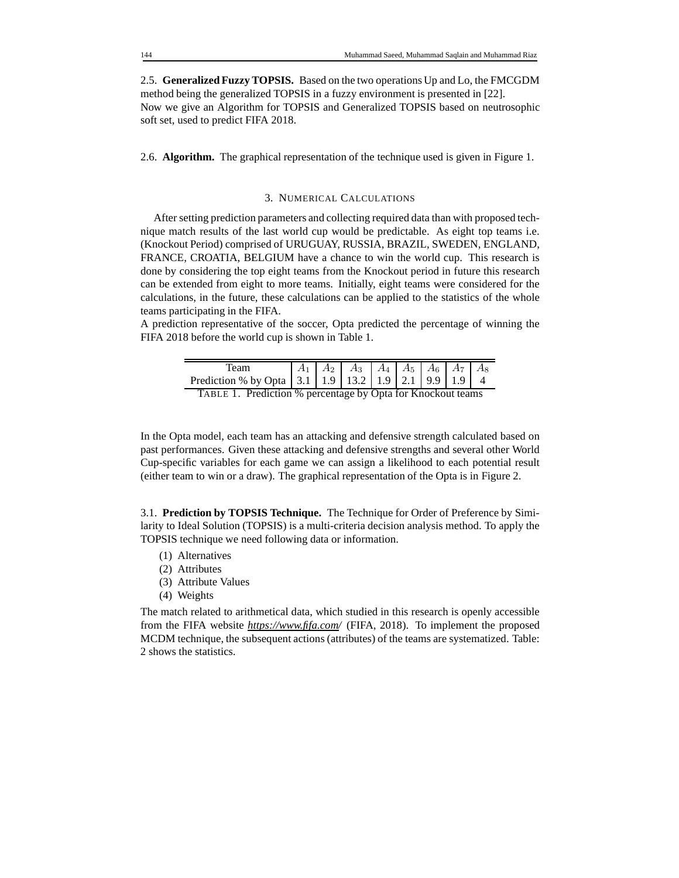2.5. **Generalized Fuzzy TOPSIS.** Based on the two operations Up and Lo, the FMCGDM method being the generalized TOPSIS in a fuzzy environment is presented in [22]. Now we give an Algorithm for TOPSIS and Generalized TOPSIS based on neutrosophic soft set, used to predict FIFA 2018.

2.6. **Algorithm.** The graphical representation of the technique used is given in Figure 1.

#### 3. NUMERICAL CALCULATIONS

After setting prediction parameters and collecting required data than with proposed technique match results of the last world cup would be predictable. As eight top teams i.e. (Knockout Period) comprised of URUGUAY, RUSSIA, BRAZIL, SWEDEN, ENGLAND, FRANCE, CROATIA, BELGIUM have a chance to win the world cup. This research is done by considering the top eight teams from the Knockout period in future this research can be extended from eight to more teams. Initially, eight teams were considered for the calculations, in the future, these calculations can be applied to the statistics of the whole teams participating in the FIFA.

A prediction representative of the soccer, Opta predicted the percentage of winning the FIFA 2018 before the world cup is shown in Table 1.

| Team<br>Prediction % by Opta 3.1 1.9 13.2 1.9 2.1 9.9 1.9 4 |  |  |  |  |  |  |  |  |
|-------------------------------------------------------------|--|--|--|--|--|--|--|--|
|                                                             |  |  |  |  |  |  |  |  |
| TABLE 1. Prediction % percentage by Opta for Knockout teams |  |  |  |  |  |  |  |  |

In the Opta model, each team has an attacking and defensive strength calculated based on past performances. Given these attacking and defensive strengths and several other World Cup-specific variables for each game we can assign a likelihood to each potential result (either team to win or a draw). The graphical representation of the Opta is in Figure 2.

3.1. **Prediction by TOPSIS Technique.** The Technique for Order of Preference by Similarity to Ideal Solution (TOPSIS) is a multi-criteria decision analysis method. To apply the TOPSIS technique we need following data or information.

- (1) Alternatives
- (2) Attributes
- (3) Attribute Values
- (4) Weights

The match related to arithmetical data, which studied in this research is openly accessible from the FIFA website *https://www.fifa.com/* (FIFA, 2018). To implement the proposed MCDM technique, the subsequent actions (attributes) of the teams are systematized. Table: 2 shows the statistics.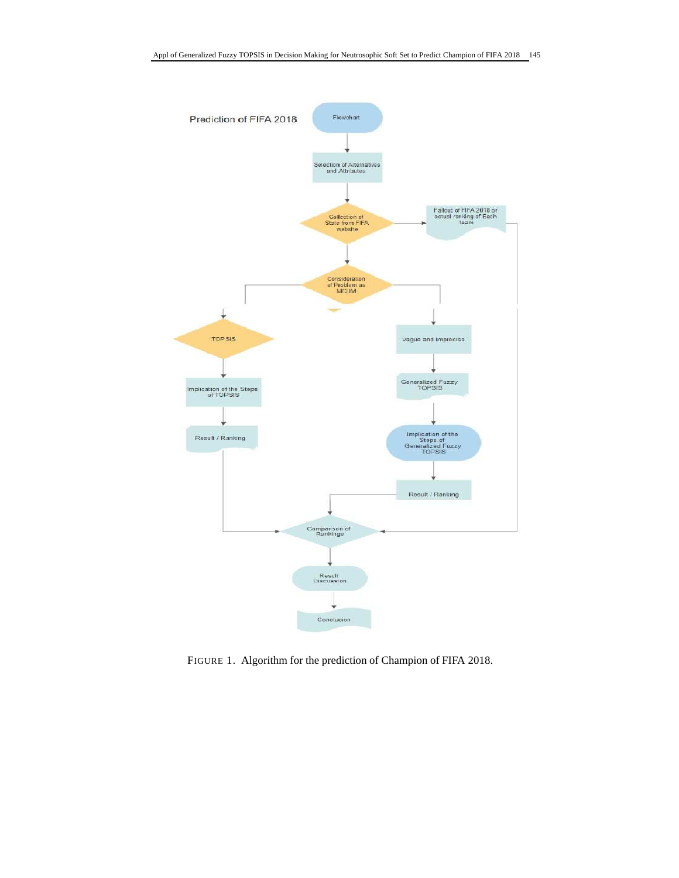

FIGURE 1. Algorithm for the prediction of Champion of FIFA 2018.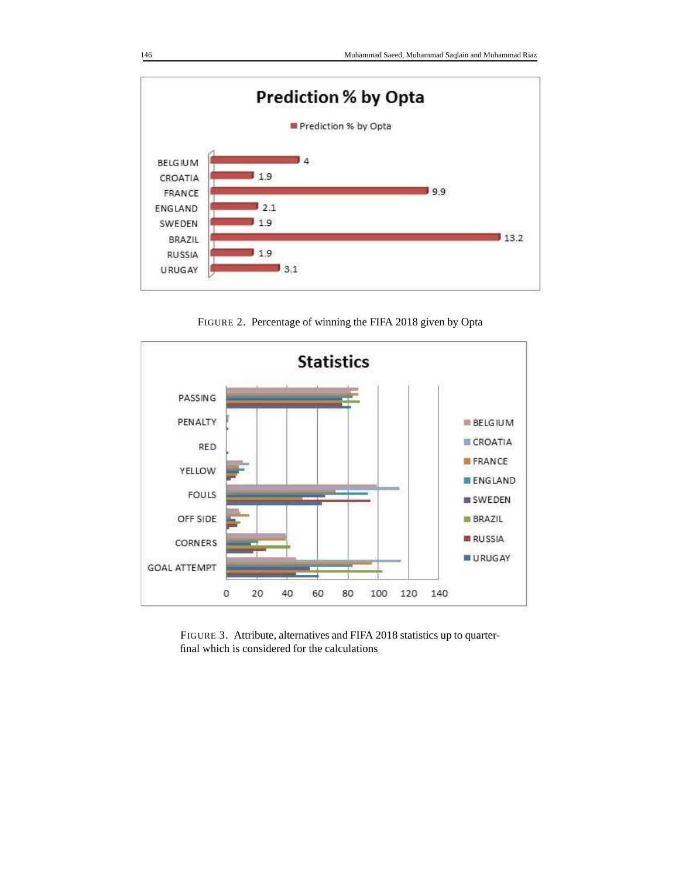

**Statistics** PASSING PENALTY **BELGIUM** CROATIA RED FRANCE **YELLOW ENGLAND** FOULS **IN SWEDEN** OFF SIDE **BRAZIL RUSSIA** CORNERS **URUGAY GOAL ATTEMPT** 

FIGURE 2. Percentage of winning the FIFA 2018 given by Opta

FIGURE 3. Attribute, alternatives and FIFA 2018 statistics up to quarterfinal which is considered for the calculations

80

100

120

140

O

20

40

60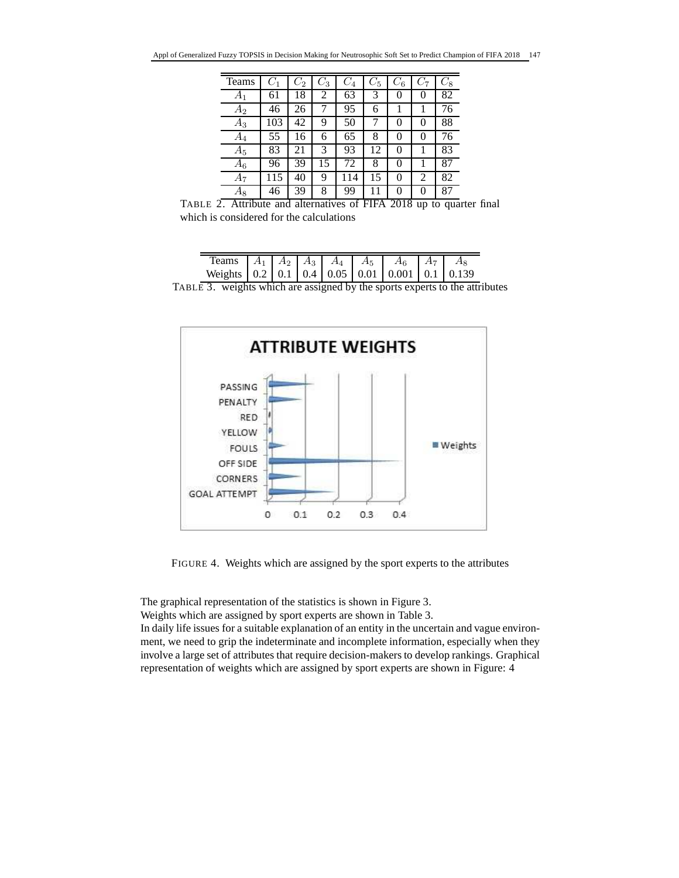| Teams              | $C_1$ | $C_2$ | $C_3$ | $C_4$ | $C_{5}$ | $C_{6}$ | $C_7$ | $C_{8}$ |
|--------------------|-------|-------|-------|-------|---------|---------|-------|---------|
| $A_1$              | 61    | 18    | 2     | 63    | 3       | 0       | 0     | 82      |
| $A_2$              | 46    | 26    | 7     | 95    | 6       | 1       | 1     | 76      |
| $\scriptstyle A_3$ | 103   | 42    | 9     | 50    | 7       | 0       | 0     | 88      |
| $A_4$              | 55    | 16    | 6     | 65    | 8       | 0       | 0     | 76      |
| $A_5\,$            | 83    | 21    | 3     | 93    | 12      | 0       |       | 83      |
| $A_6$              | 96    | 39    | 15    | 72    | 8       | 0       |       | 87      |
| $A_7$              | 115   | 40    | 9     | 114   | 15      | 0       | 2     | 82      |
| $A_8$              | 46    | 39    | 8     | 99    |         | 0       | 0     | 87      |

TABLE 2. Attribute and alternatives of FIFA 2018 up to quarter final which is considered for the calculations

| Teams $A_1 \mid A_2 \mid A_3 \mid A_4 \mid A_5 \mid A_6 \mid A_7 \mid A_8$                  |  |  |  |  |
|---------------------------------------------------------------------------------------------|--|--|--|--|
| Weights $\begin{bmatrix} 0.2 & 0.1 & 0.4 & 0.05 & 0.01 & 0.001 & 0.1 & 0.139 \end{bmatrix}$ |  |  |  |  |

TABLE 3. weights which are assigned by the sports experts to the attributes



FIGURE 4. Weights which are assigned by the sport experts to the attributes

The graphical representation of the statistics is shown in Figure 3.

Weights which are assigned by sport experts are shown in Table 3.

In daily life issues for a suitable explanation of an entity in the uncertain and vague environment, we need to grip the indeterminate and incomplete information, especially when they involve a large set of attributes that require decision-makers to develop rankings. Graphical representation of weights which are assigned by sport experts are shown in Figure: 4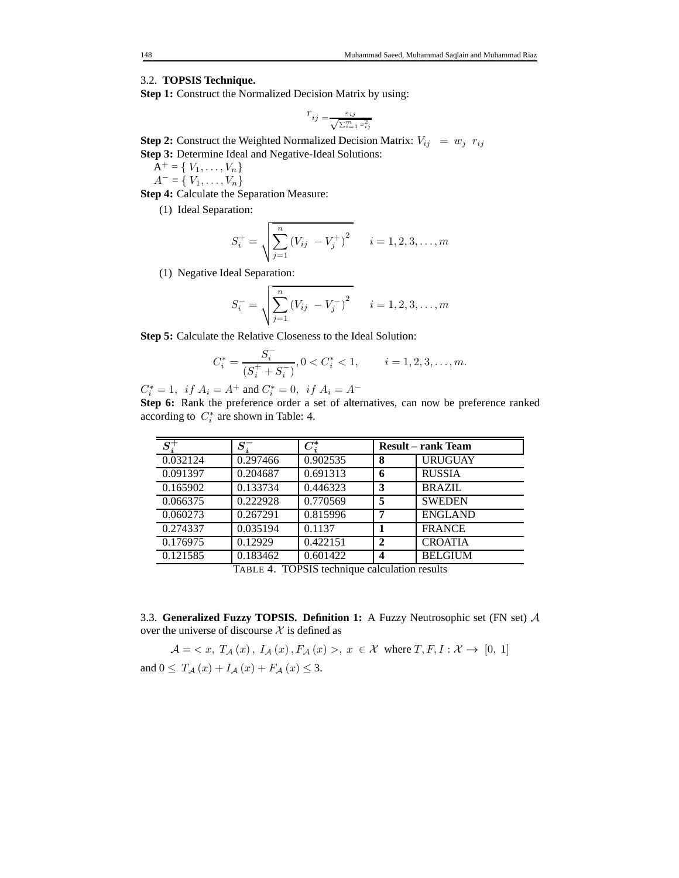# 3.2. **TOPSIS Technique.**

**Step 1:** Construct the Normalized Decision Matrix by using:

$$
r_{ij} = \frac{x_{ij}}{\sqrt{\sum_{i=1}^m x_{ij}^2}}
$$

**Step 2:** Construct the Weighted Normalized Decision Matrix:  $V_{ij} = w_j r_{ij}$ **Step 3:** Determine Ideal and Negative-Ideal Solutions:

 $A^+ = \{ V_1, \ldots, V_n \}$ 

 $A = \{V_1, \ldots, V_n\}$ 

**Step 4:** Calculate the Separation Measure:

(1) Ideal Separation:

$$
S_i^+ = \sqrt{\sum_{j=1}^n (V_{ij} - V_j^+)^2} \qquad i = 1, 2, 3, \dots, m
$$

(1) Negative Ideal Separation:

$$
S_i^- = \sqrt{\sum_{j=1}^n (V_{ij} - V_j^-)^2} \qquad i = 1, 2, 3, \dots, m
$$

**Step 5:** Calculate the Relative Closeness to the Ideal Solution:

$$
C_i^* = \frac{S_i^-}{(S_i^+ + S_i^-)}, 0 < C_i^* < 1, \qquad i = 1, 2, 3, \dots, m.
$$

 $C_i^* = 1$ , if  $A_i = A^+$  and  $C_i^* = 0$ , if  $A_i = A^-$ 

**Step 6:** Rank the preference order a set of alternatives, can now be preference ranked according to  $C_i^*$  are shown in Table: 4.

| $S_i^+$  | $S_i^-$  | $C_i^\ast$ |                | <b>Result</b> – rank Team |
|----------|----------|------------|----------------|---------------------------|
| 0.032124 | 0.297466 | 0.902535   | 8              | <b>URUGUAY</b>            |
| 0.091397 | 0.204687 | 0.691313   | 6              | <b>RUSSIA</b>             |
| 0.165902 | 0.133734 | 0.446323   | 3              | <b>BRAZIL</b>             |
| 0.066375 | 0.222928 | 0.770569   | 5              | <b>SWEDEN</b>             |
| 0.060273 | 0.267291 | 0.815996   | 7              | <b>ENGLAND</b>            |
| 0.274337 | 0.035194 | 0.1137     |                | <b>FRANCE</b>             |
| 0.176975 | 0.12929  | 0.422151   | $\overline{2}$ | <b>CROATIA</b>            |
| 0.121585 | 0.183462 | 0.601422   | 4              | <b>BELGIUM</b>            |

TABLE 4. TOPSIS technique calculation results

3.3. **Generalized Fuzzy TOPSIS. Definition 1:** A Fuzzy Neutrosophic set (FN set) A over the universe of discourse  $\mathcal X$  is defined as

$$
\mathcal{A} = \langle x, T_{\mathcal{A}}(x), I_{\mathcal{A}}(x), F_{\mathcal{A}}(x) \rangle, x \in \mathcal{X} \text{ where } T, F, I : \mathcal{X} \to [0, 1]
$$
  
and  $0 \le T_{\mathcal{A}}(x) + I_{\mathcal{A}}(x) + F_{\mathcal{A}}(x) \le 3$ .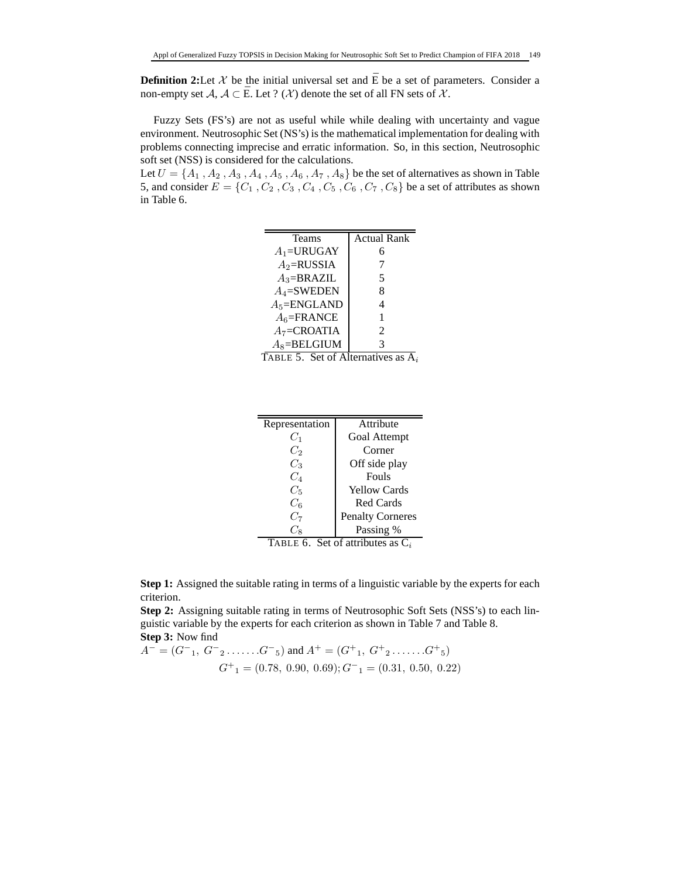**Definition 2:**Let  $\mathcal{X}$  be the initial universal set and  $\overline{E}$  be a set of parameters. Consider a non-empty set  $A, A \subset \overline{E}$ . Let ? (X) denote the set of all FN sets of X.

Fuzzy Sets (FS's) are not as useful while while dealing with uncertainty and vague environment. Neutrosophic Set (NS's) is the mathematical implementation for dealing with problems connecting imprecise and erratic information. So, in this section, Neutrosophic soft set (NSS) is considered for the calculations.

Let  $U = \{A_1, A_2, A_3, A_4, A_5, A_6, A_7, A_8\}$  be the set of alternatives as shown in Table 5, and consider  $E = \{C_1, C_2, C_3, C_4, C_5, C_6, C_7, C_8\}$  be a set of attributes as shown in Table 6.

| <b>Teams</b>    | <b>Actual Rank</b> |
|-----------------|--------------------|
| $A_1$ =URUGAY   | 6                  |
| $A_2$ =RUSSIA   | 7                  |
| $A_3 = BRAZIL$  | 5                  |
| $A_4$ =SWEDEN   | 8                  |
| $A_5 = ENGLAND$ | 4                  |
| $A_6$ =FRANCE   | 1                  |
| $A_7 = CROATIA$ | $\mathfrak{D}$     |
| $A_8 = BELGIUM$ | 3                  |

TABLE 5. Set of Alternatives as  $\overline{A}_i$ 

| Representation                          | Attribute                                                                                                                                                                                                                                                                                                                                                   |
|-----------------------------------------|-------------------------------------------------------------------------------------------------------------------------------------------------------------------------------------------------------------------------------------------------------------------------------------------------------------------------------------------------------------|
| $C_1$                                   | <b>Goal Attempt</b>                                                                                                                                                                                                                                                                                                                                         |
| $C_2$                                   | Corner                                                                                                                                                                                                                                                                                                                                                      |
| $C_3$                                   | Off side play                                                                                                                                                                                                                                                                                                                                               |
| $C_4$                                   | Fouls                                                                                                                                                                                                                                                                                                                                                       |
| $C_5$                                   | <b>Yellow Cards</b>                                                                                                                                                                                                                                                                                                                                         |
| $C_6$                                   | <b>Red Cards</b>                                                                                                                                                                                                                                                                                                                                            |
| $C_7$                                   | <b>Penalty Corneres</b>                                                                                                                                                                                                                                                                                                                                     |
|                                         | Passing %                                                                                                                                                                                                                                                                                                                                                   |
| $\mathbf{m}$ . $\mathbf{m}$ .<br>$\sim$ | $\mathcal{C}$ $\mathcal{C}$ $\mathcal{C}$ $\mathcal{C}$ $\mathcal{C}$ $\mathcal{C}$ $\mathcal{C}$ $\mathcal{C}$ $\mathcal{C}$ $\mathcal{C}$ $\mathcal{C}$ $\mathcal{C}$ $\mathcal{C}$ $\mathcal{C}$ $\mathcal{C}$ $\mathcal{C}$ $\mathcal{C}$ $\mathcal{C}$ $\mathcal{C}$ $\mathcal{C}$ $\mathcal{C}$ $\mathcal{C}$ $\mathcal{C}$ $\mathcal{C}$ $\mathcal{$ |

TABLE 6. Set of attributes as  $C_i$ 

**Step 1:** Assigned the suitable rating in terms of a linguistic variable by the experts for each criterion.

**Step 2:** Assigning suitable rating in terms of Neutrosophic Soft Sets (NSS's) to each linguistic variable by the experts for each criterion as shown in Table 7 and Table 8. **Step 3:** Now find

$$
A^{-} = (G^{-}1, G^{-}2 \dots \dots G^{-}5) \text{ and } A^{+} = (G^{+}1, G^{+}2 \dots \dots G^{+}5)
$$
  

$$
G^{+} = (0.78, 0.90, 0.69); G^{-}1 = (0.31, 0.50, 0.22)
$$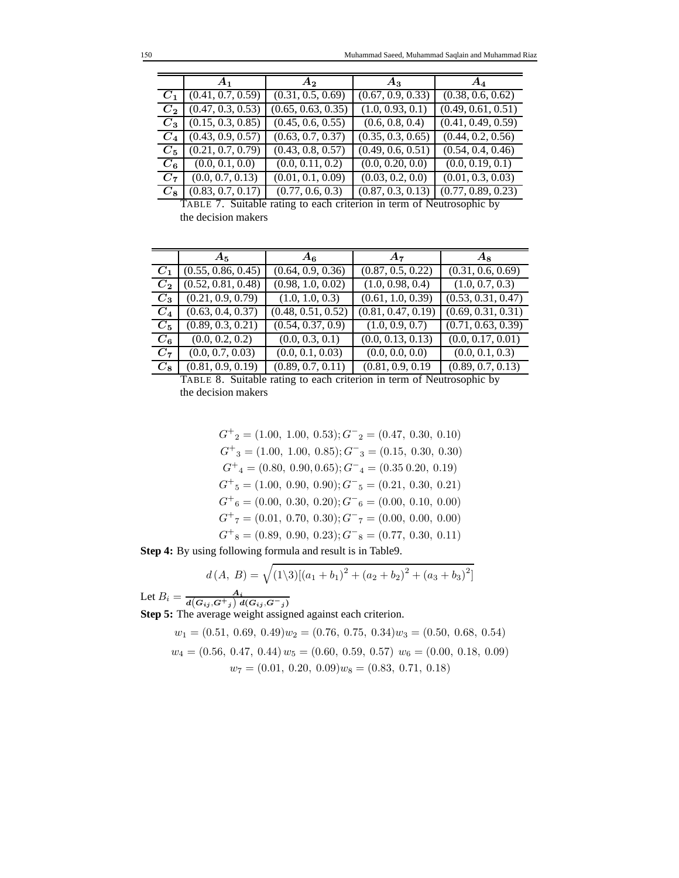|             | $A_1$             | $A_2$              | $A_3$             | $\boldsymbol{A_4}$ |
|-------------|-------------------|--------------------|-------------------|--------------------|
| $C_1$       | (0.41, 0.7, 0.59) | (0.31, 0.5, 0.69)  | (0.67, 0.9, 0.33) | (0.38, 0.6, 0.62)  |
| $C_{2}$     | (0.47, 0.3, 0.53) | (0.65, 0.63, 0.35) | (1.0, 0.93, 0.1)  | (0.49, 0.61, 0.51) |
| $C_3$       | (0.15, 0.3, 0.85) | (0.45, 0.6, 0.55)  | (0.6, 0.8, 0.4)   | (0.41, 0.49, 0.59) |
| $C_4$       | (0.43, 0.9, 0.57) | (0.63, 0.7, 0.37)  | (0.35, 0.3, 0.65) | (0.44, 0.2, 0.56)  |
| $C_5$       | (0.21, 0.7, 0.79) | (0.43, 0.8, 0.57)  | (0.49, 0.6, 0.51) | (0.54, 0.4, 0.46)  |
| $C_6$       | (0.0, 0.1, 0.0)   | (0.0, 0.11, 0.2)   | (0.0, 0.20, 0.0)  | (0.0, 0.19, 0.1)   |
| $C_7$       | (0.0, 0.7, 0.13)  | (0.01, 0.1, 0.09)  | (0.03, 0.2, 0.0)  | (0.01, 0.3, 0.03)  |
| $C_{\bf 8}$ | (0.83, 0.7, 0.17) | (0.77, 0.6, 0.3)   | (0.87, 0.3, 0.13) | (0.77, 0.89, 0.23) |

TABLE 7. Suitable rating to each criterion in term of Neutrosophic by the decision makers

|         | $A_5$              | $A_6$              | $A_7$              | $A_8$              |
|---------|--------------------|--------------------|--------------------|--------------------|
| $C_1$   | (0.55, 0.86, 0.45) | (0.64, 0.9, 0.36)  | (0.87, 0.5, 0.22)  | (0.31, 0.6, 0.69)  |
| $C_{2}$ | (0.52, 0.81, 0.48) | (0.98, 1.0, 0.02)  | (1.0, 0.98, 0.4)   | (1.0, 0.7, 0.3)    |
| $C_3$   | (0.21, 0.9, 0.79)  | (1.0, 1.0, 0.3)    | (0.61, 1.0, 0.39)  | (0.53, 0.31, 0.47) |
| $C_4$   | (0.63, 0.4, 0.37)  | (0.48, 0.51, 0.52) | (0.81, 0.47, 0.19) | (0.69, 0.31, 0.31) |
| $C_5$   | (0.89, 0.3, 0.21)  | (0.54, 0.37, 0.9)  | (1.0, 0.9, 0.7)    | (0.71, 0.63, 0.39) |
| $C_6$   | (0.0, 0.2, 0.2)    | (0.0, 0.3, 0.1)    | (0.0, 0.13, 0.13)  | (0.0, 0.17, 0.01)  |
| $C_7$   | (0.0, 0.7, 0.03)   | (0.0, 0.1, 0.03)   | (0.0, 0.0, 0.0)    | (0.0, 0.1, 0.3)    |
| $C_8$   | (0.81, 0.9, 0.19)  | (0.89, 0.7, 0.11)  | (0.81, 0.9, 0.19)  | (0.89, 0.7, 0.13)  |

TABLE 8. Suitable rating to each criterion in term of Neutrosophic by the decision makers

$$
G^{+}_{2} = (1.00, 1.00, 0.53); G^{-}_{2} = (0.47, 0.30, 0.10)
$$

$$
G^{+}_{3} = (1.00, 1.00, 0.85); G^{-}_{3} = (0.15, 0.30, 0.30)
$$

$$
G^{+}_{4} = (0.80, 0.90, 0.65); G^{-}_{4} = (0.35, 0.20, 0.19)
$$

$$
G^{+}_{5} = (1.00, 0.90, 0.90); G^{-}_{5} = (0.21, 0.30, 0.21)
$$

$$
G^{+}_{6} = (0.00, 0.30, 0.20); G^{-}_{6} = (0.00, 0.10, 0.00)
$$

$$
G^{+}_{7} = (0.01, 0.70, 0.30); G^{-}_{7} = (0.00, 0.00, 0.00)
$$

$$
G^{+}_{8} = (0.89, 0.90, 0.23); G^{-}_{8} = (0.77, 0.30, 0.11)
$$

**Step 4:** By using following formula and result is in Table9.

$$
d(A, B) = \sqrt{(1\backslash 3)[(a_1 + b_1)^2 + (a_2 + b_2)^2 + (a_3 + b_3)^2]}
$$
  

$$
A_i
$$

Let 
$$
B_i = \frac{A_i}{d(G_{ij}, G^+_{j}) d(G_{ij}, G^-_{j})}
$$
  
\n**Step 5:** The average weight assigned against each criterion.  
\n $w_1 = (0.51, 0.69, 0.49) w_2 = (0.76, 0.75, 0.34) w_3 = (0.50, 0.68, 0.54)$ 

$$
w_4 = (0.56, 0.47, 0.44) w_5 = (0.60, 0.59, 0.57) w_6 = (0.00, 0.18, 0.09)
$$
  

$$
w_7 = (0.01, 0.20, 0.09) w_8 = (0.83, 0.71, 0.18)
$$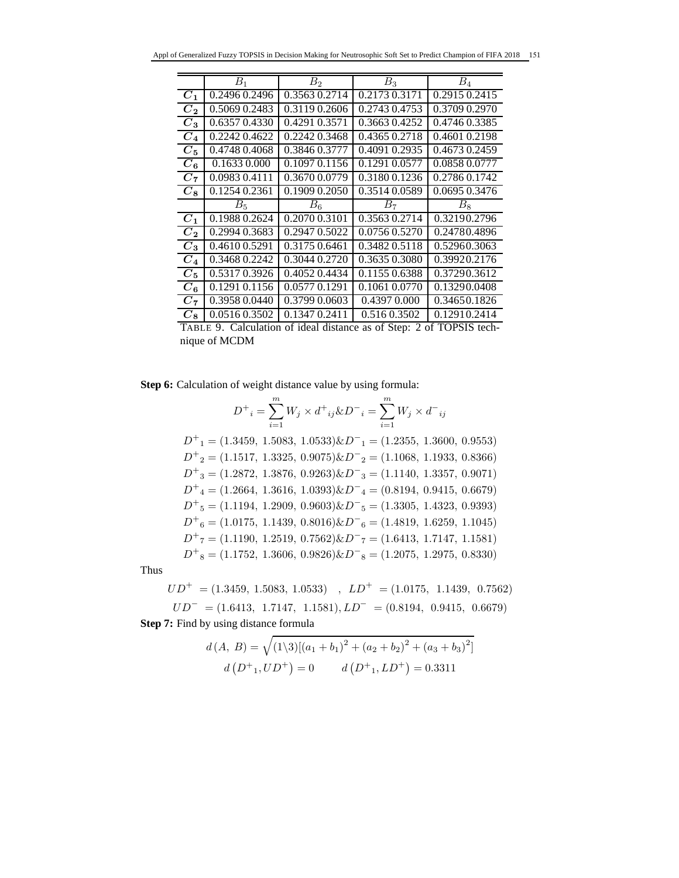|                    | $B_1$         | B <sub>2</sub> | $B_3$         | $B_4$         |
|--------------------|---------------|----------------|---------------|---------------|
| $C_1$              | 0.2496 0.2496 | 0.3563 0.2714  | 0.2173 0.3171 | 0.2915 0.2415 |
| $C_2$              | 0.5069 0.2483 | 0.3119 0.2606  | 0.2743 0.4753 | 0.3709 0.2970 |
| $C_{3}$            | 0.6357 0.4330 | 0.4291 0.3571  | 0.3663 0.4252 | 0.4746 0.3385 |
| $C_{\rm 4}$        | 0.2242 0.4622 | 0.2242 0.3468  | 0.4365 0.2718 | 0.4601 0.2198 |
| $C_{5}$            | 0.4748 0.4068 | 0.3846 0.3777  | 0.4091 0.2935 | 0.4673 0.2459 |
| $C_{\mathfrak{a}}$ | 0.1633 0.000  | 0.1097 0.1156  | 0.1291 0.0577 | 0.0858 0.0777 |
| $C_7$              | 0.0983 0.4111 | 0.3670 0.0779  | 0.31800.1236  | 0.2786 0.1742 |
| $C_{\rm R}$        | 0.1254 0.2361 | 0.1909 0.2050  | 0.3514 0.0589 | 0.0695 0.3476 |
|                    | $B_5$         | $B_6$          | $B_7$         | $B_8$         |
| $C_1$              | 0.1988 0.2624 | 0.2070 0.3101  | 0.3563 0.2714 | 0.32190.2796  |
| $C_{2}$            | 0.2994 0.3683 | 0.2947 0.5022  | 0.0756 0.5270 | 0.24780.4896  |
| $C_{3}$            | 0.4610 0.5291 | 0.3175 0.6461  | 0.3482 0.5118 | 0.52960.3063  |
| $C_{\it 4}$        | 0.3468 0.2242 | 0.3044 0.2720  | 0.3635 0.3080 | 0.39920.2176  |
| $C_{5}$            | 0.5317 0.3926 | 0.4052 0.4434  | 0.1155 0.6388 | 0.37290.3612  |
| $C_6$              | 0.1291 0.1156 | 0.0577 0.1291  | 0.1061 0.0770 | 0.13290.0408  |
| $C_7$              | 0.3958 0.0440 | 0.3799 0.0603  | 0.4397 0.000  | 0.34650.1826  |
| $C_8$              | 0.0516 0.3502 | 0.1347 0.2411  | 0.516 0.3502  | 0.12910.2414  |

TABLE 9. Calculation of ideal distance as of Step: 2 of TOPSIS technique of MCDM

**Step 6:** Calculation of weight distance value by using formula:

$$
D^+{}_{i} = \sum_{i=1}^{m} W_j \times d^+{}_{ij} \& D^-{}_{i} = \sum_{i=1}^{m} W_j \times d^-{}_{ij}
$$
  
\n
$$
D^+{}_{1} = (1.3459, 1.5083, 1.0533) \& D^-{}_{1} = (1.2355, 1.3600, 0.9553)
$$
  
\n
$$
D^+{}_{2} = (1.1517, 1.3325, 0.9075) \& D^-{}_{2} = (1.1068, 1.1933, 0.8366)
$$
  
\n
$$
D^+{}_{3} = (1.2872, 1.3876, 0.9263) \& D^-{}_{3} = (1.1140, 1.3357, 0.9071)
$$
  
\n
$$
D^+{}_{4} = (1.2664, 1.3616, 1.0393) \& D^-{}_{4} = (0.8194, 0.9415, 0.6679)
$$
  
\n
$$
D^+{}_{5} = (1.1194, 1.2909, 0.9603) \& D^-{}_{5} = (1.3305, 1.4323, 0.9393)
$$
  
\n
$$
D^+{}_{6} = (1.0175, 1.1439, 0.8016) \& D^-{}_{6} = (1.4819, 1.6259, 1.1045)
$$
  
\n
$$
D^+{}_{7} = (1.1190, 1.2519, 0.7562) \& D^-{}_{7} = (1.6413, 1.7147, 1.1581)
$$
  
\n
$$
D^+{}_{8} = (1.1752, 1.3606, 0.9826) \& D^-{}_{8} = (1.2075, 1.2975, 0.8330)
$$

Thus

 $UD^{+}~= (1.3459,\: 1.5083,\: 1.0533) \quad , \: \: LD^{+}~= (1.0175,\: \: 1.1439,\: \: 0.7562)$  $UD^- = (1.6413, 1.7147, 1.1581), LD^- = (0.8194, 0.9415, 0.6679)$ **Step 7:** Find by using distance formula

$$
d(A, B) = \sqrt{(1\backslash 3)[(a_1 + b_1)^2 + (a_2 + b_2)^2 + (a_3 + b_3)^2]}
$$

$$
d(D^+_{1}, UD^+) = 0 \qquad d(D^+_{1}, LD^+) = 0.3311
$$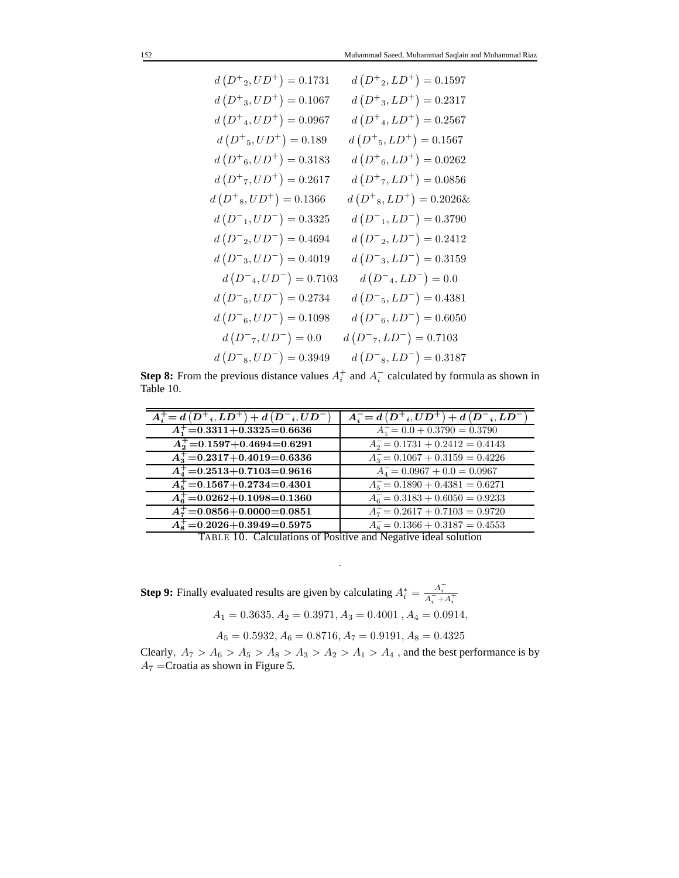$$
d(D^+{}_{2},UD^+) = 0.1731 \t d(D^+{}_{2},LD^+) = 0.1597
$$
  
\n
$$
d(D^+{}_{3},UD^+) = 0.1067 \t d(D^+{}_{3},LD^+) = 0.2317
$$
  
\n
$$
d(D^+{}_{4},UD^+) = 0.0967 \t d(D^+{}_{4},LD^+) = 0.2567
$$
  
\n
$$
d(D^+{}_{5},UD^+) = 0.189 \t d(D^+{}_{5},LD^+) = 0.1567
$$
  
\n
$$
d(D^+{}_{6},UD^+) = 0.3183 \t d(D^+{}_{6},LD^+) = 0.0262
$$
  
\n
$$
d(D^+{}_{7},UD^+) = 0.2617 \t d(D^+{}_{7},LD^+) = 0.0856
$$
  
\n
$$
d(D^+{}_{8},UD^+) = 0.1366 \t d(D^+{}_{8},LD^+) = 0.2026
$$
  
\n
$$
d(D^-{}_{1},UD^-) = 0.3325 \t d(D^-{}_{1},LD^-) = 0.3790
$$
  
\n
$$
d(D^-{}_{2},UD^-) = 0.4694 \t d(D^-{}_{2},LD^-) = 0.2412
$$
  
\n
$$
d(D^-{}_{3},UD^-) = 0.4019 \t d(D^-{}_{3},LD^-) = 0.3159
$$
  
\n
$$
d(D^-{}_{4},UD^-) = 0.7103 \t d(D^-{}_{4},LD^-) = 0.0
$$
  
\n
$$
d(D^-{}_{5},UD^-) = 0.2734 \t d(D^-{}_{5},LD^-) = 0.4381
$$
  
\n
$$
d(D^-{}_{6},UD^-) = 0.1098 \t d(D^-{}_{6},LD^-) = 0.6050
$$
  
\n
$$
d(D^-{}_{8},UD^-) = 0.0
$$
  
\n
$$
d(D^-{}_{8},UD^-) = 0.3949 \t d(D^-{}_{8},LD^-) = 0.7103
$$
  
\n
$$
d(D^-{}_{8},UD^-) = 0.3949 \t d(D
$$

**Step 8:** From the previous distance values  $A_i^+$  and  $A_i^ \overline{i}$  calculated by formula as shown in Table 10.

| $A_i^+ = d(D^+, LD^+) + d(D^-, UD^-)$    | $A_i^- = d(D^+, UD^+) + d(D^-, LD^-)$ |
|------------------------------------------|---------------------------------------|
| $A_1^+ = 0.3311 + 0.3325 = 0.6636$       | $A_1 = 0.0 + 0.3790 = 0.3790$         |
| $A_2^+ = 0.1597 + 0.4694 = 0.6291$       | $A_2 = 0.1731 + 0.2412 = 0.4143$      |
| $A_3^+$ =0.2317+0.4019=0.6336            | $A_3 = 0.1067 + 0.3159 = 0.4226$      |
| $A_4^+ = 0.2513 + 0.7103 = 0.9616$       | $A_4 = 0.0967 + 0.0 = 0.0967$         |
| $A_{\rm g}^+$ = 0.1567 + 0.2734 = 0.4301 | $A_5 = 0.1890 + 0.4381 = 0.6271$      |
| $A_{\rm g}^+$ =0.0262+0.1098=0.1360      | $A_6 = 0.3183 + 0.6050 = 0.9233$      |
| $A_7^+ = 0.0856 + 0.0000 = 0.0851$       | $A_7 = 0.2617 + 0.7103 = 0.9720$      |
| $A_{8}^{+}=0.2026+0.3949=0.5975$         | $A_8 = 0.1366 + 0.3187 = 0.4553$      |

TABLE 10. Calculations of Positive and Negative ideal solution

.

**Step 9:** Finally evaluated results are given by calculating  $A_i^* = \frac{A_i^-}{A_i^- + A_i^+}$  $A_1 = 0.3635, A_2 = 0.3971, A_3 = 0.4001, A_4 = 0.0914,$ 

$$
A_5 = 0.5932, A_6 = 0.8716, A_7 = 0.9191, A_8 = 0.4325
$$

Clearly,  $A_7 > A_6 > A_5 > A_8 > A_3 > A_2 > A_1 > A_4$ , and the best performance is by  $A_7$  = Croatia as shown in Figure 5.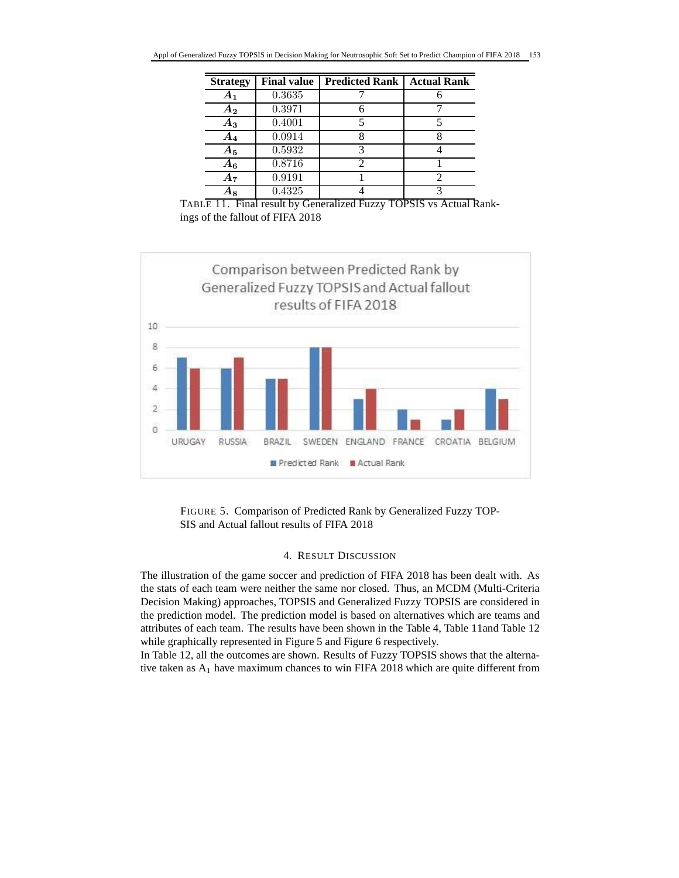| <b>Strategy</b>    | <b>Final value</b> | <b>Predicted Rank</b> | <b>Actual Rank</b> |
|--------------------|--------------------|-----------------------|--------------------|
| $A_1$              | 0.3635             |                       |                    |
| $A_2$              | 0.3971             |                       |                    |
| Aз                 | 0.4001             |                       |                    |
| $\boldsymbol{A_4}$ | 0.0914             |                       |                    |
| $A_5$              | 0.5932             | κ                     |                    |
| $A_6$              | 0.8716             | 2                     |                    |
| A7                 | 0.9191             |                       |                    |
|                    | 0.4325             |                       |                    |

TABLE 11. Final result by Generalized Fuzzy TOPSIS vs Actual Rankings of the fallout of FIFA 2018



FIGURE 5. Comparison of Predicted Rank by Generalized Fuzzy TOP-SIS and Actual fallout results of FIFA 2018

# 4. RESULT DISCUSSION

The illustration of the game soccer and prediction of FIFA 2018 has been dealt with. As the stats of each team were neither the same nor closed. Thus, an MCDM (Multi-Criteria Decision Making) approaches, TOPSIS and Generalized Fuzzy TOPSIS are considered in the prediction model. The prediction model is based on alternatives which are teams and attributes of each team. The results have been shown in the Table 4, Table 11and Table 12 while graphically represented in Figure 5 and Figure 6 respectively.

In Table 12, all the outcomes are shown. Results of Fuzzy TOPSIS shows that the alternative taken as  $A_1$  have maximum chances to win FIFA 2018 which are quite different from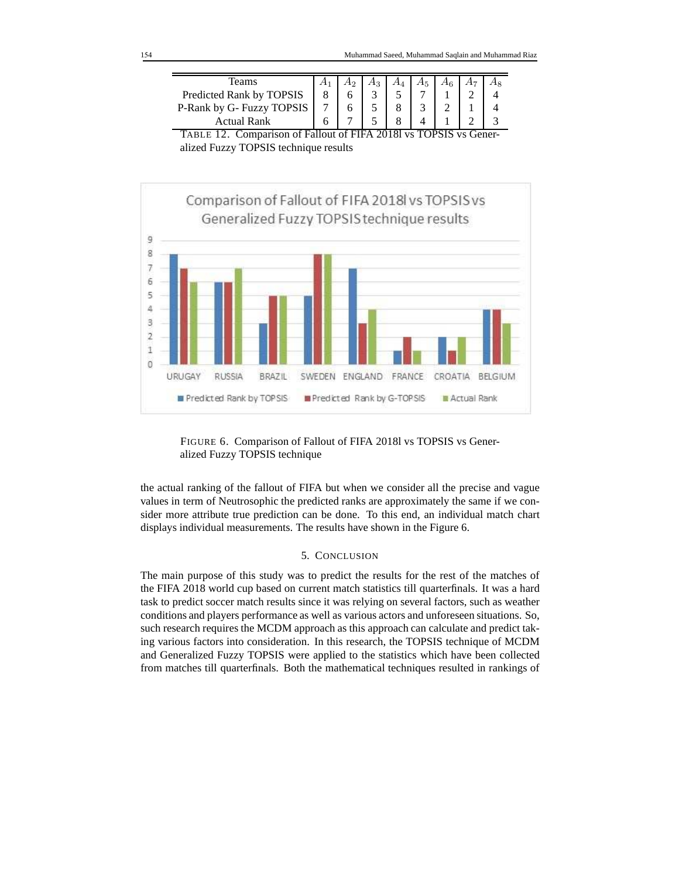| l`eams                                          |   |                          |      |         |        |  |
|-------------------------------------------------|---|--------------------------|------|---------|--------|--|
| Predicted Rank by TOPSIS                        |   |                          |      |         |        |  |
| P-Rank by G- Fuzzy TOPSIS                       |   |                          |      |         |        |  |
| <b>Actual Rank</b>                              |   |                          |      |         |        |  |
| $\sim$<br>$\sim$ $\sim$<br>$\sim$ $\sim$<br>$-$ | . | $\sim$ - $\sim$ - $\sim$ | ---- | ------- | $\sim$ |  |

TABLE 12. Comparison of Fallout of FIFA 2018l vs TOPSIS vs Generalized Fuzzy TOPSIS technique results





the actual ranking of the fallout of FIFA but when we consider all the precise and vague values in term of Neutrosophic the predicted ranks are approximately the same if we consider more attribute true prediction can be done. To this end, an individual match chart displays individual measurements. The results have shown in the Figure 6.

### 5. CONCLUSION

The main purpose of this study was to predict the results for the rest of the matches of the FIFA 2018 world cup based on current match statistics till quarterfinals. It was a hard task to predict soccer match results since it was relying on several factors, such as weather conditions and players performance as well as various actors and unforeseen situations. So, such research requires the MCDM approach as this approach can calculate and predict taking various factors into consideration. In this research, the TOPSIS technique of MCDM and Generalized Fuzzy TOPSIS were applied to the statistics which have been collected from matches till quarterfinals. Both the mathematical techniques resulted in rankings of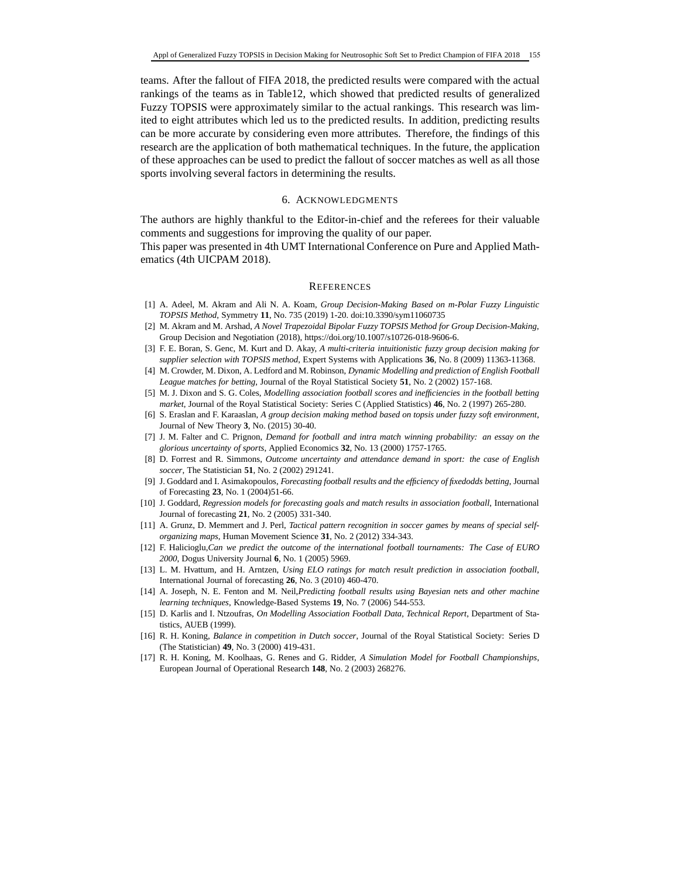teams. After the fallout of FIFA 2018, the predicted results were compared with the actual rankings of the teams as in Table12, which showed that predicted results of generalized Fuzzy TOPSIS were approximately similar to the actual rankings. This research was limited to eight attributes which led us to the predicted results. In addition, predicting results can be more accurate by considering even more attributes. Therefore, the findings of this research are the application of both mathematical techniques. In the future, the application of these approaches can be used to predict the fallout of soccer matches as well as all those sports involving several factors in determining the results.

### 6. ACKNOWLEDGMENTS

The authors are highly thankful to the Editor-in-chief and the referees for their valuable comments and suggestions for improving the quality of our paper.

This paper was presented in 4th UMT International Conference on Pure and Applied Mathematics (4th UICPAM 2018).

### **REFERENCES**

- [1] A. Adeel, M. Akram and Ali N. A. Koam, *Group Decision-Making Based on m-Polar Fuzzy Linguistic TOPSIS Method*, Symmetry **11**, No. 735 (2019) 1-20. doi:10.3390/sym11060735
- [2] M. Akram and M. Arshad, *A Novel Trapezoidal Bipolar Fuzzy TOPSIS Method for Group Decision-Making*, Group Decision and Negotiation (2018), https://doi.org/10.1007/s10726-018-9606-6.
- [3] F. E. Boran, S. Genc, M. Kurt and D. Akay, *A multi-criteria intuitionistic fuzzy group decision making for supplier selection with TOPSIS method*, Expert Systems with Applications **36**, No. 8 (2009) 11363-11368.
- [4] M. Crowder, M. Dixon, A. Ledford and M. Robinson, *Dynamic Modelling and prediction of English Football League matches for betting*, Journal of the Royal Statistical Society **51**, No. 2 (2002) 157-168.
- [5] M. J. Dixon and S. G. Coles, *Modelling association football scores and inefficiencies in the football betting market*, Journal of the Royal Statistical Society: Series C (Applied Statistics) **46**, No. 2 (1997) 265-280.
- [6] S. Eraslan and F. Karaaslan, *A group decision making method based on topsis under fuzzy soft environment*, Journal of New Theory **3**, No. (2015) 30-40.
- [7] J. M. Falter and C. Prignon, *Demand for football and intra match winning probability: an essay on the glorious uncertainty of sports*, Applied Economics **32**, No. 13 (2000) 1757-1765.
- [8] D. Forrest and R. Simmons, *Outcome uncertainty and attendance demand in sport: the case of English soccer*, The Statistician **51**, No. 2 (2002) 291241.
- [9] J. Goddard and I. Asimakopoulos, *Forecasting football results and the efficiency of fixedodds betting*, Journal of Forecasting **23**, No. 1 (2004)51-66.
- [10] J. Goddard, *Regression models for forecasting goals and match results in association football*, International Journal of forecasting **21**, No. 2 (2005) 331-340.
- [11] A. Grunz, D. Memmert and J. Perl, *Tactical pattern recognition in soccer games by means of special selforganizing maps*, Human Movement Science **31**, No. 2 (2012) 334-343.
- [12] F. Halicioglu,*Can we predict the outcome of the international football tournaments: The Case of EURO 2000*, Dogus University Journal **6**, No. 1 (2005) 5969.
- [13] L. M. Hvattum, and H. Arntzen, *Using ELO ratings for match result prediction in association football*, International Journal of forecasting **26**, No. 3 (2010) 460-470.
- [14] A. Joseph, N. E. Fenton and M. Neil,*Predicting football results using Bayesian nets and other machine learning techniques*, Knowledge-Based Systems **19**, No. 7 (2006) 544-553.
- [15] D. Karlis and I. Ntzoufras, *On Modelling Association Football Data, Technical Report*, Department of Statistics, AUEB (1999).
- [16] R. H. Koning, *Balance in competition in Dutch soccer*, Journal of the Royal Statistical Society: Series D (The Statistician) **49**, No. 3 (2000) 419-431.
- [17] R. H. Koning, M. Koolhaas, G. Renes and G. Ridder, *A Simulation Model for Football Championships*, European Journal of Operational Research **148**, No. 2 (2003) 268276.